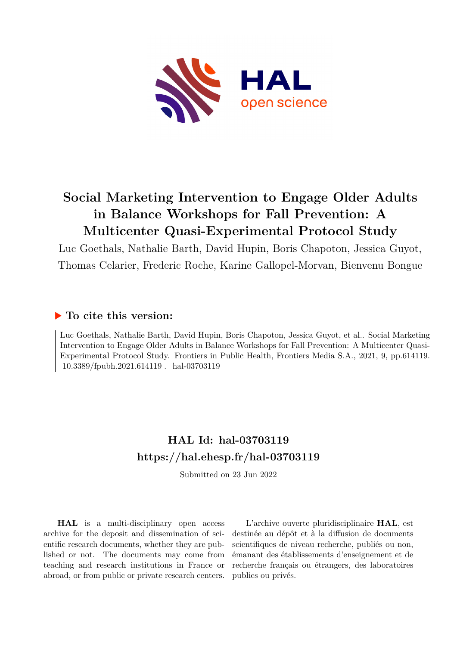

# **Social Marketing Intervention to Engage Older Adults in Balance Workshops for Fall Prevention: A Multicenter Quasi-Experimental Protocol Study**

Luc Goethals, Nathalie Barth, David Hupin, Boris Chapoton, Jessica Guyot, Thomas Celarier, Frederic Roche, Karine Gallopel-Morvan, Bienvenu Bongue

## **To cite this version:**

Luc Goethals, Nathalie Barth, David Hupin, Boris Chapoton, Jessica Guyot, et al.. Social Marketing Intervention to Engage Older Adults in Balance Workshops for Fall Prevention: A Multicenter Quasi-Experimental Protocol Study. Frontiers in Public Health, Frontiers Media S.A., 2021, 9, pp.614119. 10.3389/fpubh.2021.614119 hal-03703119

## **HAL Id: hal-03703119 <https://hal.ehesp.fr/hal-03703119>**

Submitted on 23 Jun 2022

**HAL** is a multi-disciplinary open access archive for the deposit and dissemination of scientific research documents, whether they are published or not. The documents may come from teaching and research institutions in France or abroad, or from public or private research centers.

L'archive ouverte pluridisciplinaire **HAL**, est destinée au dépôt et à la diffusion de documents scientifiques de niveau recherche, publiés ou non, émanant des établissements d'enseignement et de recherche français ou étrangers, des laboratoires publics ou privés.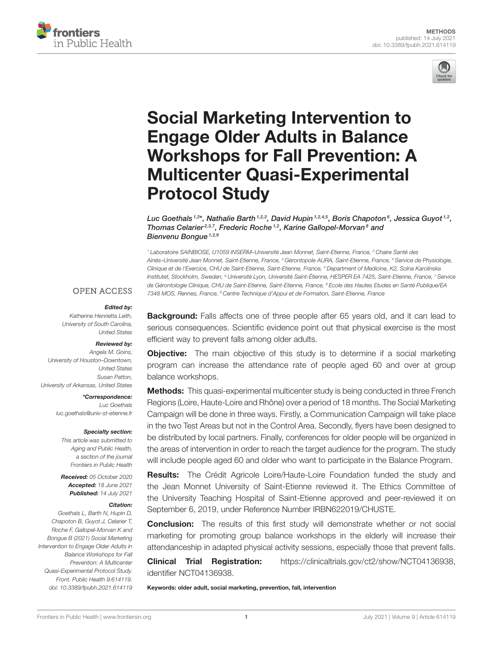



# Social Marketing Intervention to Engage Older Adults in Balance [Workshops for Fall Prevention: A](https://www.frontiersin.org/articles/10.3389/fpubh.2021.614119/full) Multicenter Quasi-Experimental Protocol Study

Luc Goethals  $^{1,2*}$ , Nathalie Barth  $^{1,2,3}$ , David Hupin  $^{1,2,4,5}$ , Boris Chapoton $^6$ , Jessica Guyot  $^{1,2}$ , Thomas Celarier<sup>2,3,7</sup>, Frederic Roche<sup>1,2</sup>, Karine Gallopel-Morvan<sup>8</sup> and Bienvenu Bonque  $1,2,9$ 

<sup>1</sup> Laboratoire SAINBIOSE, U1059 INSERM–Université Jean Monnet, Saint-Etienne, France, <sup>2</sup> Chaire Santé des Ainés–Université Jean Monnet, Saint-Etienne, France, <sup>3</sup> Gérontopole AURA, Saint-Etienne, France, <sup>4</sup> Service de Physiologie, Clinique et de l'Exercice, CHU de Saint-Etienne, Saint-Etienne, France, <sup>5</sup> Department of Medicine, K2, Solna Karolinska Institutet, Stockholm, Sweden, <sup>6</sup> Université Lyon, Université Saint-Étienne, HESPER EA 7425, Saint-Etienne, France, <sup>7</sup> Service de Gérontologie Clinique, CHU de Saint-Etienne, Saint-Etienne, France, <sup>8</sup> Ecole des Hautes Etudes en Santé Publique/EA 7348 MOS, Rennes, France, <sup>9</sup> Centre Technique d'Appui et de Formation, Saint-Etienne, France

#### **OPEN ACCESS**

#### Edited by:

Katherine Henrietta Leith, University of South Carolina, United States

#### Reviewed by:

Angela M. Goins, University of Houston–Downtown, United States Susan Patton, University of Arkansas, United States

\*Correspondence:

Luc Goethals [luc.goethals@univ-st-etienne.fr](mailto:luc.goethals@univ-st-etienne.fr)

#### Specialty section:

This article was submitted to Aging and Public Health, a section of the journal Frontiers in Public Health

Received: 05 October 2020 Accepted: 18 June 2021 Published: 14 July 2021

#### Citation:

Goethals L, Barth N, Hupin D, Chapoton B, Guyot J, Celarier T, Roche F, Gallopel-Morvan K and Bongue B (2021) Social Marketing Intervention to Engage Older Adults in Balance Workshops for Fall Prevention: A Multicenter Quasi-Experimental Protocol Study. Front. Public Health 9:614119. doi: [10.3389/fpubh.2021.614119](https://doi.org/10.3389/fpubh.2021.614119) **Background:** Falls affects one of three people after 65 years old, and it can lead to serious consequences. Scientific evidence point out that physical exercise is the most efficient way to prevent falls among older adults.

**Objective:** The main objective of this study is to determine if a social marketing program can increase the attendance rate of people aged 60 and over at group balance workshops.

Methods: This quasi-experimental multicenter study is being conducted in three French Regions (Loire, Haute-Loire and Rhône) over a period of 18 months. The Social Marketing Campaign will be done in three ways. Firstly, a Communication Campaign will take place in the two Test Areas but not in the Control Area. Secondly, flyers have been designed to be distributed by local partners. Finally, conferences for older people will be organized in the areas of intervention in order to reach the target audience for the program. The study will include people aged 60 and older who want to participate in the Balance Program.

Results: The Crédit Agricole Loire/Haute-Loire Foundation funded the study and the Jean Monnet University of Saint-Etienne reviewed it. The Ethics Committee of the University Teaching Hospital of Saint-Etienne approved and peer-reviewed it on September 6, 2019, under Reference Number IRBN622019/CHUSTE.

**Conclusion:** The results of this first study will demonstrate whether or not social marketing for promoting group balance workshops in the elderly will increase their attendanceship in adapted physical activity sessions, especially those that prevent falls.

**Clinical Trial Registration:** [https://clinicaltrials.gov/ct2/show/NCT04136938,](https://clinicaltrials.gov/ct2/show/NCT04136938) identifier NCT04136938.

Keywords: older adult, social marketing, prevention, fall, intervention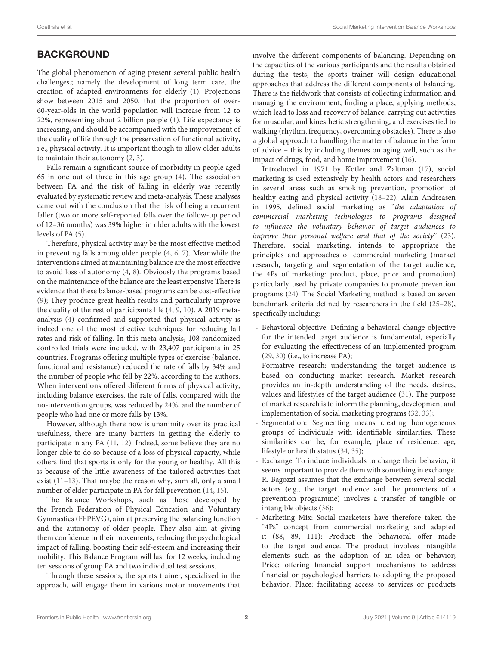## **BACKGROUND**

The global phenomenon of aging present several public health challenges.; namely the development of long term care, the creation of adapted environments for elderly [\(1\)](#page-8-0). Projections show between 2015 and 2050, that the proportion of over-60-year-olds in the world population will increase from 12 to 22%, representing about 2 billion people [\(1\)](#page-8-0). Life expectancy is increasing, and should be accompanied with the improvement of the quality of life through the preservation of functional activity, i.e., physical activity. It is important though to allow older adults to maintain their autonomy [\(2,](#page-8-1) [3\)](#page-8-2).

Falls remain a significant source of morbidity in people aged 65 in one out of three in this age group [\(4\)](#page-8-3). The association between PA and the risk of falling in elderly was recently evaluated by systematic review and meta-analysis. These analyses came out with the conclusion that the risk of being a recurrent faller (two or more self-reported falls over the follow-up period of 12–36 months) was 39% higher in older adults with the lowest levels of PA [\(5\)](#page-8-4).

Therefore, physical activity may be the most effective method in preventing falls among older people [\(4,](#page-8-3) [6,](#page-8-5) [7\)](#page-8-6). Meanwhile the interventions aimed at maintaining balance are the most effective to avoid loss of autonomy [\(4,](#page-8-3) [8\)](#page-8-7). Obviously the programs based on the maintenance of the balance are the least expensive There is evidence that these balance-based programs can be cost-effective [\(9\)](#page-8-8); They produce great health results and particularly improve the quality of the rest of participants life [\(4,](#page-8-3) [9,](#page-8-8) [10\)](#page-8-9). A 2019 metaanalysis [\(4\)](#page-8-3) confirmed and supported that physical activity is indeed one of the most effective techniques for reducing fall rates and risk of falling. In this meta-analysis, 108 randomized controlled trials were included, with 23,407 participants in 25 countries. Programs offering multiple types of exercise (balance, functional and resistance) reduced the rate of falls by 34% and the number of people who fell by 22%, according to the authors. When interventions offered different forms of physical activity, including balance exercises, the rate of falls, compared with the no-intervention groups, was reduced by 24%, and the number of people who had one or more falls by 13%.

However, although there now is unanimity over its practical usefulness, there are many barriers in getting the elderly to participate in any PA [\(11,](#page-8-10) [12\)](#page-8-11). Indeed, some believe they are no longer able to do so because of a loss of physical capacity, while others find that sports is only for the young or healthy. All this is because of the little awareness of the tailored activities that exist [\(11](#page-8-10)[–13\)](#page-8-12). That maybe the reason why, sum all, only a small number of elder participate in PA for fall prevention [\(14,](#page-9-0) [15\)](#page-9-1).

The Balance Workshops, such as those developed by the French Federation of Physical Education and Voluntary Gymnastics (FFPEVG), aim at preserving the balancing function and the autonomy of older people. They also aim at giving them confidence in their movements, reducing the psychological impact of falling, boosting their self-esteem and increasing their mobility. This Balance Program will last for 12 weeks, including ten sessions of group PA and two individual test sessions.

Through these sessions, the sports trainer, specialized in the approach, will engage them in various motor movements that involve the different components of balancing. Depending on the capacities of the various participants and the results obtained during the tests, the sports trainer will design educational approaches that address the different components of balancing. There is the fieldwork that consists of collecting information and managing the environment, finding a place, applying methods, which lead to loss and recovery of balance, carrying out activities for muscular, and kinesthetic strengthening, and exercises tied to walking (rhythm, frequency, overcoming obstacles). There is also a global approach to handling the matter of balance in the form of advice – this by including themes on aging well, such as the impact of drugs, food, and home improvement [\(16\)](#page-9-2).

Introduced in 1971 by Kotler and Zaltman [\(17\)](#page-9-3), social marketing is used extensively by health actors and researchers in several areas such as smoking prevention, promotion of healthy eating and physical activity [\(18](#page-9-4)[–22\)](#page-9-5). Alain Andreasen in 1995, defined social marketing as "the adaptation of commercial marketing technologies to programs designed to influence the voluntary behavior of target audiences to improve their personal welfare and that of the society" [\(23\)](#page-9-6). Therefore, social marketing, intends to appropriate the principles and approaches of commercial marketing (market research, targeting and segmentation of the target audience, the 4Ps of marketing: product, place, price and promotion) particularly used by private companies to promote prevention programs [\(24\)](#page-9-7). The Social Marketing method is based on seven benchmark criteria defined by researchers in the field [\(25–](#page-9-8)[28\)](#page-9-9), specifically including:

- Behavioral objective: Defining a behavioral change objective for the intended target audience is fundamental, especially for evaluating the effectiveness of an implemented program [\(29,](#page-9-10) [30\)](#page-9-11) (i.e., to increase PA);
- Formative research: understanding the target audience is based on conducting market research. Market research provides an in-depth understanding of the needs, desires, values and lifestyles of the target audience [\(31\)](#page-9-12). The purpose of market research is to inform the planning, development and implementation of social marketing programs [\(32,](#page-9-13) [33\)](#page-9-14);
- Segmentation: Segmenting means creating homogeneous groups of individuals with identifiable similarities. These similarities can be, for example, place of residence, age, lifestyle or health status [\(34,](#page-9-15) [35\)](#page-9-16);
- Exchange: To induce individuals to change their behavior, it seems important to provide them with something in exchange. R. Bagozzi assumes that the exchange between several social actors (e.g., the target audience and the promoters of a prevention programme) involves a transfer of tangible or intangible objects [\(36\)](#page-9-17);
- Marketing Mix: Social marketers have therefore taken the "4Ps" concept from commercial marketing and adapted it (88, 89, 111): Product: the behavioral offer made to the target audience. The product involves intangible elements such as the adoption of an idea or behavior; Price: offering financial support mechanisms to address financial or psychological barriers to adopting the proposed behavior; Place: facilitating access to services or products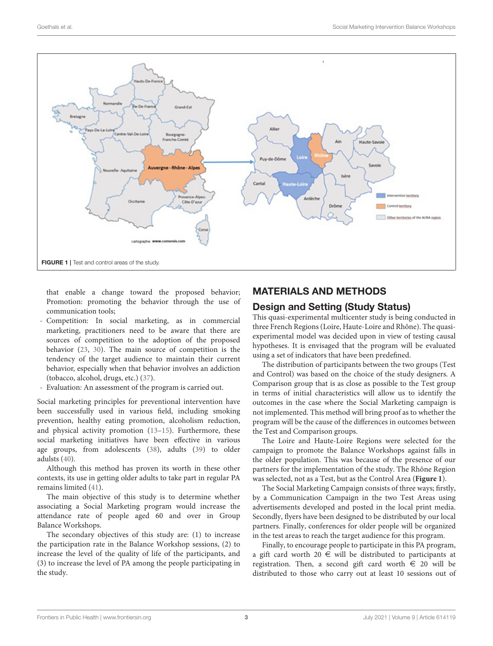

<span id="page-3-0"></span>that enable a change toward the proposed behavior; Promotion: promoting the behavior through the use of communication tools;

- Competition: In social marketing, as in commercial marketing, practitioners need to be aware that there are sources of competition to the adoption of the proposed behavior [\(23,](#page-9-6) [30\)](#page-9-11). The main source of competition is the tendency of the target audience to maintain their current behavior, especially when that behavior involves an addiction (tobacco, alcohol, drugs, etc.) [\(37\)](#page-9-18).
- Evaluation: An assessment of the program is carried out.

Social marketing principles for preventional intervention have been successfully used in various field, including smoking prevention, healthy eating promotion, alcoholism reduction, and physical activity promotion [\(13](#page-8-12)[–15\)](#page-9-1). Furthermore, these social marketing initiatives have been effective in various age groups, from adolescents [\(38\)](#page-9-19), adults [\(39\)](#page-9-20) to older adulsts [\(40\)](#page-9-21).

Although this method has proven its worth in these other contexts, its use in getting older adults to take part in regular PA remains limited [\(41\)](#page-9-22).

The main objective of this study is to determine whether associating a Social Marketing program would increase the attendance rate of people aged 60 and over in Group Balance Workshops.

The secondary objectives of this study are: (1) to increase the participation rate in the Balance Workshop sessions, (2) to increase the level of the quality of life of the participants, and (3) to increase the level of PA among the people participating in the study.

## MATERIALS AND METHODS

## Design and Setting (Study Status)

This quasi-experimental multicenter study is being conducted in three French Regions (Loire, Haute-Loire and Rhône). The quasiexperimental model was decided upon in view of testing causal hypotheses. It is envisaged that the program will be evaluated using a set of indicators that have been predefined.

The distribution of participants between the two groups (Test and Control) was based on the choice of the study designers. A Comparison group that is as close as possible to the Test group in terms of initial characteristics will allow us to identify the outcomes in the case where the Social Marketing campaign is not implemented. This method will bring proof as to whether the program will be the cause of the differences in outcomes between the Test and Comparison groups.

The Loire and Haute-Loire Regions were selected for the campaign to promote the Balance Workshops against falls in the older population. This was because of the presence of our partners for the implementation of the study. The Rhône Region was selected, not as a Test, but as the Control Area (**[Figure 1](#page-3-0)**).

The Social Marketing Campaign consists of three ways; firstly, by a Communication Campaign in the two Test Areas using advertisements developed and posted in the local print media. Secondly, flyers have been designed to be distributed by our local partners. Finally, conferences for older people will be organized in the test areas to reach the target audience for this program.

Finally, to encourage people to participate in this PA program, a gift card worth 20  $\in$  will be distributed to participants at registration. Then, a second gift card worth  $\epsilon$  20 will be distributed to those who carry out at least 10 sessions out of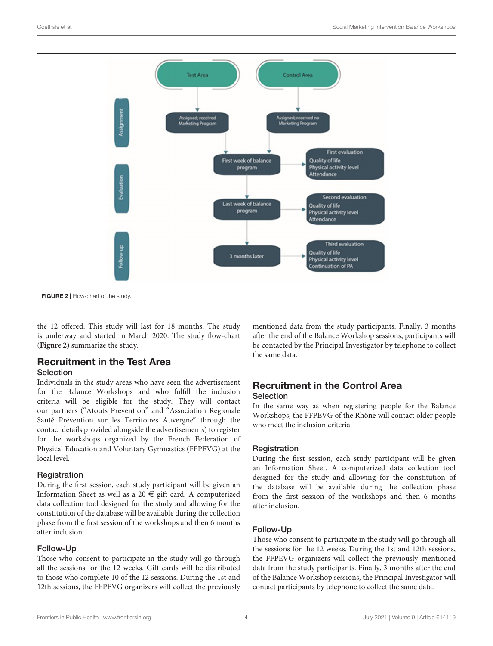

<span id="page-4-0"></span>the 12 offered. This study will last for 18 months. The study is underway and started in March 2020. The study flow-chart (**[Figure 2](#page-4-0)**) summarize the study.

#### Recruitment in the Test Area Selection

Individuals in the study areas who have seen the advertisement for the Balance Workshops and who fulfill the inclusion criteria will be eligible for the study. They will contact our partners ("Atouts Prévention" and "Association Régionale Santé Prévention sur les Territoires Auvergne" through the contact details provided alongside the advertisements) to register for the workshops organized by the French Federation of Physical Education and Voluntary Gymnastics (FFPEVG) at the local level.

#### Registration

During the first session, each study participant will be given an Information Sheet as well as a 20  $\in$  gift card. A computerized data collection tool designed for the study and allowing for the constitution of the database will be available during the collection phase from the first session of the workshops and then 6 months after inclusion.

#### Follow-Up

Those who consent to participate in the study will go through all the sessions for the 12 weeks. Gift cards will be distributed to those who complete 10 of the 12 sessions. During the 1st and 12th sessions, the FFPEVG organizers will collect the previously mentioned data from the study participants. Finally, 3 months after the end of the Balance Workshop sessions, participants will be contacted by the Principal Investigator by telephone to collect the same data.

## Recruitment in the Control Area **Selection**

In the same way as when registering people for the Balance Workshops, the FFPEVG of the Rhône will contact older people who meet the inclusion criteria.

#### Registration

During the first session, each study participant will be given an Information Sheet. A computerized data collection tool designed for the study and allowing for the constitution of the database will be available during the collection phase from the first session of the workshops and then 6 months after inclusion.

#### Follow-Up

Those who consent to participate in the study will go through all the sessions for the 12 weeks. During the 1st and 12th sessions, the FFPEVG organizers will collect the previously mentioned data from the study participants. Finally, 3 months after the end of the Balance Workshop sessions, the Principal Investigator will contact participants by telephone to collect the same data.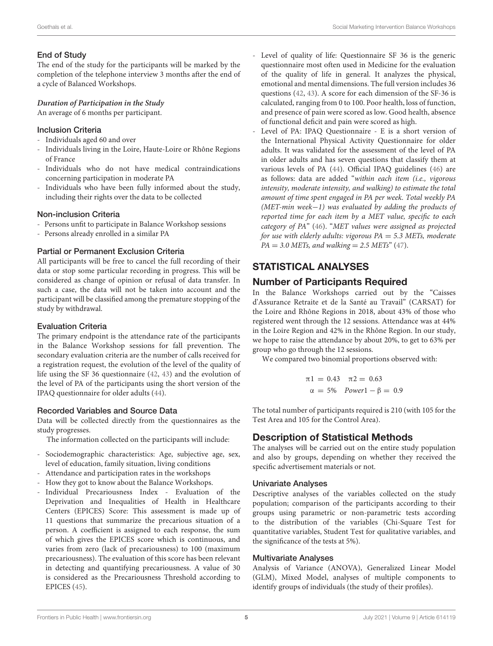#### End of Study

The end of the study for the participants will be marked by the completion of the telephone interview 3 months after the end of a cycle of Balanced Workshops.

#### **Duration of Participation in the Study**

An average of 6 months per participant.

#### Inclusion Criteria

- Individuals aged 60 and over
- Individuals living in the Loire, Haute-Loire or Rhône Regions of France
- Individuals who do not have medical contraindications concerning participation in moderate PA
- Individuals who have been fully informed about the study, including their rights over the data to be collected

#### Non-inclusion Criteria

- Persons unfit to participate in Balance Workshop sessions
- Persons already enrolled in a similar PA

### Partial or Permanent Exclusion Criteria

All participants will be free to cancel the full recording of their data or stop some particular recording in progress. This will be considered as change of opinion or refusal of data transfer. In such a case, the data will not be taken into account and the participant will be classified among the premature stopping of the study by withdrawal.

#### Evaluation Criteria

The primary endpoint is the attendance rate of the participants in the Balance Workshop sessions for fall prevention. The secondary evaluation criteria are the number of calls received for a registration request, the evolution of the level of the quality of life using the SF 36 questionnaire [\(42,](#page-9-23) [43\)](#page-9-24) and the evolution of the level of PA of the participants using the short version of the IPAQ questionnaire for older adults [\(44\)](#page-9-25).

### Recorded Variables and Source Data

Data will be collected directly from the questionnaires as the study progresses.

The information collected on the participants will include:

- Sociodemographic characteristics: Age, subjective age, sex, level of education, family situation, living conditions
- Attendance and participation rates in the workshops
- How they got to know about the Balance Workshops.
- Individual Precariousness Index Evaluation of the Deprivation and Inequalities of Health in Healthcare Centers (EPICES) Score: This assessment is made up of 11 questions that summarize the precarious situation of a person. A coefficient is assigned to each response, the sum of which gives the EPICES score which is continuous, and varies from zero (lack of precariousness) to 100 (maximum precariousness). The evaluation of this score has been relevant in detecting and quantifying precariousness. A value of 30 is considered as the Precariousness Threshold according to EPICES [\(45\)](#page-9-26).
- Level of quality of life: Questionnaire SF 36 is the generic questionnaire most often used in Medicine for the evaluation of the quality of life in general. It analyzes the physical, emotional and mental dimensions. The full version includes 36 questions [\(42,](#page-9-23) [43\)](#page-9-24). A score for each dimension of the SF-36 is calculated, ranging from 0 to 100. Poor health, loss of function, and presence of pain were scored as low. Good health, absence of functional deficit and pain were scored as high.
- Level of PA: IPAQ Questionnaire E is a short version of the International Physical Activity Questionnaire for older adults. It was validated for the assessment of the level of PA in older adults and has seven questions that classify them at various levels of PA [\(44\)](#page-9-25). Official IPAQ guidelines [\(46\)](#page-9-27) are as follows: data are added "within each item (i.e., vigorous intensity, moderate intensity, and walking) to estimate the total amount of time spent engaged in PA per week. Total weekly PA (MET-min week−1) was evaluated by adding the products of reported time for each item by a MET value, specific to each category of PA" [\(46\)](#page-9-27). "MET values were assigned as projected for use with elderly adults: vigorous  $PA = 5.3$  METs, moderate  $PA = 3.0 \text{ METs},$  and walking = 2.5 METs" [\(47\)](#page-9-28).

## STATISTICAL ANALYSES

## Number of Participants Required

In the Balance Workshops carried out by the "Caisses d'Assurance Retraite et de la Santé au Travail" (CARSAT) for the Loire and Rhône Regions in 2018, about 43% of those who registered went through the 12 sessions. Attendance was at 44% in the Loire Region and 42% in the Rhône Region. In our study, we hope to raise the attendance by about 20%, to get to 63% per group who go through the 12 sessions.

We compared two binomial proportions observed with:

$$
\pi 1 = 0.43 \quad \pi 2 = 0.63
$$
  

$$
\alpha = 5\% \quad Power1 - \beta = 0.9
$$

The total number of participants required is 210 (with 105 for the Test Area and 105 for the Control Area).

## Description of Statistical Methods

The analyses will be carried out on the entire study population and also by groups, depending on whether they received the specific advertisement materials or not.

### Univariate Analyses

Descriptive analyses of the variables collected on the study population; comparison of the participants according to their groups using parametric or non-parametric tests according to the distribution of the variables (Chi-Square Test for quantitative variables, Student Test for qualitative variables, and the significance of the tests at 5%).

#### Multivariate Analyses

Analysis of Variance (ANOVA), Generalized Linear Model (GLM), Mixed Model, analyses of multiple components to identify groups of individuals (the study of their profiles).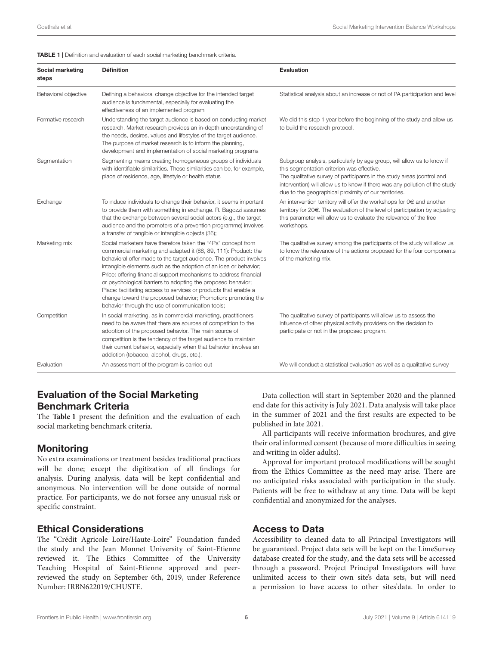#### <span id="page-6-0"></span>**TABLE 1** | Definition and evaluation of each social marketing benchmark criteria.

| Social marketing<br>steps | <b>Définition</b>                                                                                                                                                                                                                                                                                                                                                                                                                                                                                                                                                                                       | <b>Evaluation</b>                                                                                                                                                                                                                                                                                                                      |
|---------------------------|---------------------------------------------------------------------------------------------------------------------------------------------------------------------------------------------------------------------------------------------------------------------------------------------------------------------------------------------------------------------------------------------------------------------------------------------------------------------------------------------------------------------------------------------------------------------------------------------------------|----------------------------------------------------------------------------------------------------------------------------------------------------------------------------------------------------------------------------------------------------------------------------------------------------------------------------------------|
| Behavioral objective      | Defining a behavioral change objective for the intended target<br>audience is fundamental, especially for evaluating the<br>effectiveness of an implemented program                                                                                                                                                                                                                                                                                                                                                                                                                                     | Statistical analysis about an increase or not of PA participation and level                                                                                                                                                                                                                                                            |
| Formative research        | Understanding the target audience is based on conducting market<br>research. Market research provides an in-depth understanding of<br>the needs, desires, values and lifestyles of the target audience.<br>The purpose of market research is to inform the planning,<br>development and implementation of social marketing programs                                                                                                                                                                                                                                                                     | We did this step 1 year before the beginning of the study and allow us<br>to build the research protocol.                                                                                                                                                                                                                              |
| Segmentation              | Segmenting means creating homogeneous groups of individuals<br>with identifiable similarities. These similarities can be, for example,<br>place of residence, age, lifestyle or health status                                                                                                                                                                                                                                                                                                                                                                                                           | Subgroup analysis, particularly by age group, will allow us to know if<br>this segmentation criterion was effective.<br>The qualitative survey of participants in the study areas (control and<br>intervention) will allow us to know if there was any pollution of the study<br>due to the geographical proximity of our territories. |
| Exchange                  | To induce individuals to change their behavior, it seems important<br>to provide them with something in exchange. R. Bagozzi assumes<br>that the exchange between several social actors (e.g., the target<br>audience and the promoters of a prevention programme) involves<br>a transfer of tangible or intangible objects (36);                                                                                                                                                                                                                                                                       | An intervention territory will offer the workshops for $0 \in \mathbb{R}$ and another<br>territory for 20€. The evaluation of the level of participation by adjusting<br>this parameter will allow us to evaluate the relevance of the free<br>workshops.                                                                              |
| Marketing mix             | Social marketers have therefore taken the "4Ps" concept from<br>commercial marketing and adapted it (88, 89, 111): Product: the<br>behavioral offer made to the target audience. The product involves<br>intangible elements such as the adoption of an idea or behavior;<br>Price: offering financial support mechanisms to address financial<br>or psychological barriers to adopting the proposed behavior;<br>Place: facilitating access to services or products that enable a<br>change toward the proposed behavior; Promotion: promoting the<br>behavior through the use of communication tools; | The qualitative survey among the participants of the study will allow us<br>to know the relevance of the actions proposed for the four components<br>of the marketing mix.                                                                                                                                                             |
| Competition               | In social marketing, as in commercial marketing, practitioners<br>need to be aware that there are sources of competition to the<br>adoption of the proposed behavior. The main source of<br>competition is the tendency of the target audience to maintain<br>their current behavior, especially when that behavior involves an<br>addiction (tobacco, alcohol, drugs, etc.).                                                                                                                                                                                                                           | The qualitative survey of participants will allow us to assess the<br>influence of other physical activity providers on the decision to<br>participate or not in the proposed program.                                                                                                                                                 |
| Evaluation                | An assessment of the program is carried out                                                                                                                                                                                                                                                                                                                                                                                                                                                                                                                                                             | We will conduct a statistical evaluation as well as a qualitative survey                                                                                                                                                                                                                                                               |

## Evaluation of the Social Marketing Benchmark Criteria

The **[Table 1](#page-6-0)** present the definition and the evaluation of each social marketing benchmark criteria.

## **Monitoring**

No extra examinations or treatment besides traditional practices will be done; except the digitization of all findings for analysis. During analysis, data will be kept confidential and anonymous. No intervention will be done outside of normal practice. For participants, we do not forsee any unusual risk or specific constraint.

## Ethical Considerations

The "Crédit Agricole Loire/Haute-Loire" Foundation funded the study and the Jean Monnet University of Saint-Etienne reviewed it. The Ethics Committee of the University Teaching Hospital of Saint-Etienne approved and peerreviewed the study on September 6th, 2019, under Reference Number: IRBN622019/CHUSTE.

Data collection will start in September 2020 and the planned end date for this activity is July 2021. Data analysis will take place in the summer of 2021 and the first results are expected to be published in late 2021.

All participants will receive information brochures, and give their oral informed consent (because of more difficulties in seeing and writing in older adults).

Approval for important protocol modifications will be sought from the Ethics Committee as the need may arise. There are no anticipated risks associated with participation in the study. Patients will be free to withdraw at any time. Data will be kept confidential and anonymized for the analyses.

## Access to Data

Accessibility to cleaned data to all Principal Investigators will be guaranteed. Project data sets will be kept on the LimeSurvey database created for the study, and the data sets will be accessed through a password. Project Principal Investigators will have unlimited access to their own site's data sets, but will need a permission to have access to other sites'data. In order to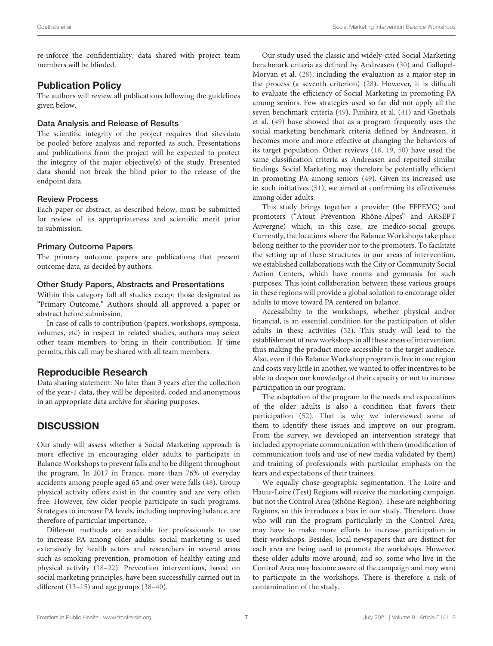re-inforce the confidentiality, data shared with project team members will be blinded.

## Publication Policy

The authors will review all publications following the guidelines given below.

#### Data Analysis and Release of Results

The scientific integrity of the project requires that sites'data be pooled before analysis and reported as such. Presentations and publications from the project will be expected to protect the integrity of the major objective(s) of the study. Presented data should not break the blind prior to the release of the endpoint data.

#### Review Process

Each paper or abstract, as described below, must be submitted for review of its appropriateness and scientific merit prior to submission.

#### Primary Outcome Papers

The primary outcome papers are publications that present outcome data, as decided by authors.

#### Other Study Papers, Abstracts and Presentations

Within this category fall all studies except those designated as "Primary Outcome." Authors should all approved a paper or abstract before submission.

In case of calls to contribution (papers, workshops, symposia, volumes, etc) in respect to related studies, authors may select other team members to bring in their contribution. If time permits, this call may be shared with all team members.

## Reproducible Research

Data sharing statement: No later than 3 years after the collection of the year-1 data, they will be deposited, coded and anonymous in an appropriate data archive for sharing purposes.

## **DISCUSSION**

Our study will assess whether a Social Marketing approach is more effective in encouraging older adults to participate in Balance Workshops to prevent falls and to be diligent throughout the program. In 2017 in France, more than 76% of everyday accidents among people aged 65 and over were falls [\(48\)](#page-9-29). Group physical activity offers exist in the country and are very often free. However, few older people participate in such programs. Strategies to increase PA levels, including improving balance, are therefore of particular importance.

Different methods are available for professionals to use to increase PA among older adults. social marketing is used extensively by health actors and researchers in several areas such as smoking prevention, promotion of healthy eating and physical activity [\(18](#page-9-4)[–22\)](#page-9-5). Prevention interventions, based on social marketing principles, have been successfully carried out in different [\(13–](#page-8-12)[15\)](#page-9-1) and age groups [\(38](#page-9-19)[–40\)](#page-9-21).

Our study used the classic and widely-cited Social Marketing benchmark criteria as defined by Andreasen [\(30\)](#page-9-11) and Gallopel-Morvan et al. [\(28\)](#page-9-9), including the evaluation as a major step in the process (a seventh criterion) [\(28\)](#page-9-9). However, it is difficult to evaluate the efficiency of Social Marketing in promoting PA among seniors. Few strategies used so far did not apply all the seven benchmark criteria [\(49\)](#page-9-30). Fujihira et al. [\(41\)](#page-9-22) and Goethals et al. [\(49\)](#page-9-30) have showed that as a program frequently uses the social marketing benchmark criteria defined by Andreasen, it becomes more and more effective at changing the behaviors of its target population. Other reviews [\(18,](#page-9-4) [19,](#page-9-31) [50\)](#page-9-32) have used the same classification criteria as Andreasen and reported similar findings. Social Marketing may therefore be potentially efficient in promoting PA among seniors [\(49\)](#page-9-30). Given its increased use in such initiatives [\(51\)](#page-9-33), we aimed at confirming its effectiveness among older adults.

This study brings together a provider (the FFPEVG) and promoters ("Atout Prévention Rhône-Alpes" and ARSEPT Auvergne) which, in this case, are medico-social groups. Currently, the locations where the Balance Workshops take place belong neither to the provider nor to the promoters. To facilitate the setting up of these structures in our areas of intervention, we established collaborations with the City or Community Social Action Centers, which have rooms and gymnasia for such purposes. This joint collaboration between these various groups in these regions will provide a global solution to encourage older adults to move toward PA centered on balance.

Accessibility to the workshops, whether physical and/or financial, is an essential condition for the participation of older adults in these activities [\(52\)](#page-9-34). This study will lead to the establishment of new workshops in all these areas of intervention, thus making the product more accessible to the target audience. Also, even if this Balance Workshop program is free in one region and costs very little in another, we wanted to offer incentives to be able to deepen our knowledge of their capacity or not to increase participation in our program.

The adaptation of the program to the needs and expectations of the older adults is also a condition that favors their participation [\(52\)](#page-9-34). That is why we interviewed some of them to identify these issues and improve on our program. From the survey, we developed an intervention strategy that included appropriate communication with them (modification of communication tools and use of new media validated by them) and training of professionals with particular emphasis on the fears and expectations of their trainees.

We equally chose geographic segmentation. The Loire and Haute-Loire (Test) Regions will receive the marketing campaign, but not the Control Area (Rhône Region). These are neighboring Regions, so this introduces a bias in our study. Therefore, those who will run the program particularly in the Control Area, may have to make more efforts to increase participation in their workshops. Besides, local newspapers that are distinct for each area are being used to promote the workshops. However, these older adults move around; and so, some who live in the Control Area may become aware of the campaign and may want to participate in the workshops. There is therefore a risk of contamination of the study.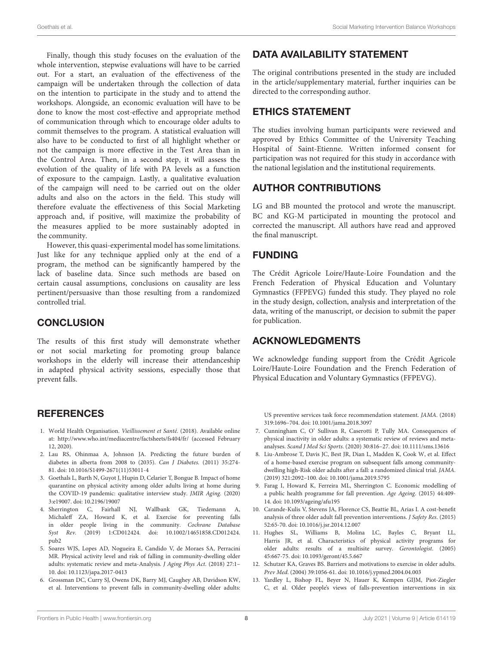Finally, though this study focuses on the evaluation of the whole intervention, stepwise evaluations will have to be carried out. For a start, an evaluation of the effectiveness of the campaign will be undertaken through the collection of data on the intention to participate in the study and to attend the workshops. Alongside, an economic evaluation will have to be done to know the most cost-effective and appropriate method of communication through which to encourage older adults to commit themselves to the program. A statistical evaluation will also have to be conducted to first of all highlight whether or not the campaign is more effective in the Test Area than in the Control Area. Then, in a second step, it will assess the evolution of the quality of life with PA levels as a function of exposure to the campaign. Lastly, a qualitative evaluation of the campaign will need to be carried out on the older adults and also on the actors in the field. This study will therefore evaluate the effectiveness of this Social Marketing approach and, if positive, will maximize the probability of the measures applied to be more sustainably adopted in the community.

However, this quasi-experimental model has some limitations. Just like for any technique applied only at the end of a program, the method can be significantly hampered by the lack of baseline data. Since such methods are based on certain causal assumptions, conclusions on causality are less pertinent/persuasive than those resulting from a randomized controlled trial.

## **CONCLUSION**

The results of this first study will demonstrate whether or not social marketing for promoting group balance workshops in the elderly will increase their attendanceship in adapted physical activity sessions, especially those that prevent falls.

## **REFERENCES**

- <span id="page-8-0"></span>1. World Health Organisation. Vieillissement et Santé. (2018). Available online at:<http://www.who.int/mediacentre/factsheets/fs404/fr/> (accessed February 12, 2020).
- <span id="page-8-1"></span>2. Lau RS, Ohinmaa A, Johnson JA. Predicting the future burden of diabetes in alberta from 2008 to (2035). Can J Diabetes. (2011) 35:274- 81. doi: [10.1016/S1499-2671\(11\)53011-4](https://doi.org/10.1016/S1499-2671(11)53011-4)
- <span id="page-8-2"></span>3. Goethals L, Barth N, Guyot J, Hupin D, Celarier T, Bongue B. Impact of home quarantine on physical activity among older adults living at home during the COVID-19 pandemic: qualitative interview study. JMIR Aging. (2020) 3:e19007. doi: [10.2196/19007](https://doi.org/10.2196/19007)
- <span id="page-8-3"></span>4. Sherrington C, Fairhall NJ, Wallbank GK, Tiedemann A, Michaleff ZA, Howard K, et al. Exercise for preventing falls in older people living in the community. Cochrane Database Syst Rev. [\(2019\) 1:CD012424. doi: 10.1002/14651858.CD012424.](https://doi.org/10.1002/14651858.CD012424.pub2) pub2
- <span id="page-8-4"></span>5. Soares WJS, Lopes AD, Nogueira E, Candido V, de Moraes SA, Perracini MR. Physical activity level and risk of falling in community-dwelling older adults: systematic review and meta-Analysis. J Aging Phys Act. (2018) 27:1– 10. doi: [10.1123/japa.2017-0413](https://doi.org/10.1123/japa.2017-0413)
- <span id="page-8-5"></span>6. Grossman DC, Curry SJ, Owens DK, Barry MJ, Caughey AB, Davidson KW, et al. Interventions to prevent falls in community-dwelling older adults:

## DATA AVAILABILITY STATEMENT

The original contributions presented in the study are included in the article/supplementary material, further inquiries can be directed to the corresponding author.

## ETHICS STATEMENT

The studies involving human participants were reviewed and approved by Ethics Committee of the University Teaching Hospital of Saint-Etienne. Written informed consent for participation was not required for this study in accordance with the national legislation and the institutional requirements.

## AUTHOR CONTRIBUTIONS

LG and BB mounted the protocol and wrote the manuscript. BC and KG-M participated in mounting the protocol and corrected the manuscript. All authors have read and approved the final manuscript.

## FUNDING

The Crédit Agricole Loire/Haute-Loire Foundation and the French Federation of Physical Education and Voluntary Gymnastics (FFPEVG) funded this study. They played no role in the study design, collection, analysis and interpretation of the data, writing of the manuscript, or decision to submit the paper for publication.

## ACKNOWLEDGMENTS

We acknowledge funding support from the Crédit Agricole Loire/Haute-Loire Foundation and the French Federation of Physical Education and Voluntary Gymnastics (FFPEVG).

US preventive services task force recommendation statement. JAMA. (2018) 319:1696–704. doi: [10.1001/jama.2018.3097](https://doi.org/10.1001/jama.2018.3097)

- <span id="page-8-6"></span>7. Cunningham C, O' Sullivan R, Caserotti P, Tully MA. Consequences of physical inactivity in older adults: a systematic review of reviews and metaanalyses. Scand J Med Sci Sports. (2020) 30:816–27. doi: [10.1111/sms.13616](https://doi.org/10.1111/sms.13616)
- <span id="page-8-7"></span>8. Liu-Ambrose T, Davis JC, Best JR, Dian L, Madden K, Cook W, et al. Effect of a home-based exercise program on subsequent falls among communitydwelling high-Risk older adults after a fall: a randomized clinical trial. JAMA. (2019) 321:2092–100. doi: [10.1001/jama.2019.5795](https://doi.org/10.1001/jama.2019.5795)
- <span id="page-8-8"></span>9. Farag I, Howard K, Ferreira ML, Sherrington C. Economic modelling of a public health programme for fall prevention. Age Ageing. (2015) 44:409- 14. doi: [10.1093/ageing/afu195](https://doi.org/10.1093/ageing/afu195)
- <span id="page-8-9"></span>10. Carande-Kulis V, Stevens JA, Florence CS, Beattie BL, Arias I. A cost-benefit analysis of three older adult fall prevention interventions. J Safety Res. (2015) 52:65-70. doi: [10.1016/j.jsr.2014.12.007](https://doi.org/10.1016/j.jsr.2014.12.007)
- <span id="page-8-10"></span>11. Hughes SL, Williams B, Molina LC, Bayles C, Bryant LL, Harris JR, et al. Characteristics of physical activity programs for older adults: results of a multisite survey. Gerontologist. (2005) 45:667-75. doi: [10.1093/geront/45.5.667](https://doi.org/10.1093/geront/45.5.667)
- <span id="page-8-11"></span>12. Schutzer KA, Graves BS. Barriers and motivations to exercise in older adults. Prev Med. (2004) 39:1056-61. doi: [10.1016/j.ypmed.2004.04.003](https://doi.org/10.1016/j.ypmed.2004.04.003)
- <span id="page-8-12"></span>13. Yardley L, Bishop FL, Beyer N, Hauer K, Kempen GIJM, Piot-Ziegler C, et al. Older people's views of falls-prevention interventions in six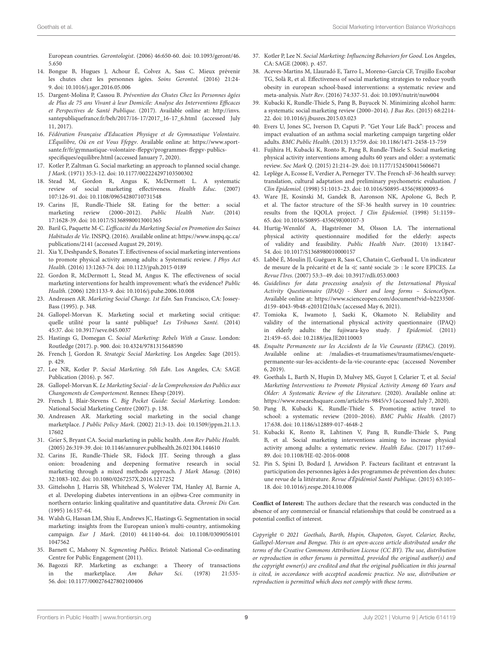European countries. Gerontologist[. \(2006\) 46:650-60. doi: 10.1093/geront/46.](https://doi.org/10.1093/geront/46.5.650) 5.650

- <span id="page-9-0"></span>14. Bongue B, Hugues J, Achour É, Colvez A, Sass C. Mieux prévenir les chutes chez les personnes âgées. Soins Gerontol. (2016) 21:24- 9. doi: [10.1016/j.sger.2016.05.006](https://doi.org/10.1016/j.sger.2016.05.006)
- <span id="page-9-1"></span>15. Dargent-Molina P, Cassou B. Prévention des Chutes Chez les Personnes âgées de Plus de 75 ans Vivant à leur Domicile: Analyse des Interventions Efficaces et Perspectives de Santé Publique. (2017). Available online at: [http://invs.](http://invs.santepubliquefrance.fr/beh/2017/16-17/2017_16-17_6.html) [santepubliquefrance.fr/beh/2017/16-17/2017\\_16-17\\_6.html](http://invs.santepubliquefrance.fr/beh/2017/16-17/2017_16-17_6.html) (accessed July 11, 2017).
- <span id="page-9-2"></span>16. Fédération Française d'Education Physiqye et de Gymnastique Volontaire. L'Équilibre, Où en est Vous Ffepgv. Available online at: [https://www.sport](https://www.sport-sante.fr/fr/gymnastique-volontaire-ffepgv/programmes-ffepgv-publics-specifiques/equilibre.html)[sante.fr/fr/gymnastique-volontaire-ffepgv/programmes-ffepgv-publics](https://www.sport-sante.fr/fr/gymnastique-volontaire-ffepgv/programmes-ffepgv-publics-specifiques/equilibre.html)[specifiques/equilibre.html](https://www.sport-sante.fr/fr/gymnastique-volontaire-ffepgv/programmes-ffepgv-publics-specifiques/equilibre.html) (accessed January 7, 2020).
- <span id="page-9-3"></span>17. Kotler P, Zaltman G. Social marketing: an approach to planned social change. J Mark. (1971) 35:3-12. doi: [10.1177/002224297103500302](https://doi.org/10.1177/002224297103500302)
- <span id="page-9-4"></span>18. Stead M, Gordon R, Angus K, McDermott L. A systematic review of social marketing effectiveness. Health Educ. (2007) 107:126-91. doi: [10.1108/09654280710731548](https://doi.org/10.1108/09654280710731548)
- <span id="page-9-31"></span>19. Carins JE, Rundle-Thiele SR. Eating for the better: a social marketing review (2000–2012). Public Health Nutr. (2014) 17:1628-39. doi: [10.1017/S1368980013001365](https://doi.org/10.1017/S1368980013001365)
- 20. Baril G, Paquette M-C. L'efficacité du Marketing Social en Promotion des Saines Habitudes de Vie. INSPQ. (2016). Available online at[: https://www.inspq.qc.ca/](https://www.inspq.qc.ca/publications/2141) [publications/2141](https://www.inspq.qc.ca/publications/2141) (accessed August 29, 2019).
- 21. Xia Y, Deshpande S, Bonates T. Effectiveness of social marketing interventions to promote physical activity among adults: a Systematic review. J Phys Act Health. (2016) 13:1263-74. doi: [10.1123/jpah.2015-0189](https://doi.org/10.1123/jpah.2015-0189)
- <span id="page-9-5"></span>22. Gordon R, McDermott L, Stead M, Angus K. The effectiveness of social marketing interventions for health improvement: what's the evidence? Public Health. (2006) 120:1133-9. doi: [10.1016/j.puhe.2006.10.008](https://doi.org/10.1016/j.puhe.2006.10.008)
- <span id="page-9-6"></span>23. Andreasen AR. Marketing Social Change. 1st Edn. San Francisco, CA: Jossey-Bass (1995). p. 348.
- <span id="page-9-7"></span>24. Gallopel-Morvan K. Marketing social et marketing social critique: quelle utilité pour la santé publique? Les Tribunes Santé. (2014) 45:37. doi: [10.3917/seve.045.0037](https://doi.org/10.3917/seve.045.0037)
- <span id="page-9-8"></span>25. Hastings G, Domegan C. Social Marketing: Rebels With a Cause. London: Routledge (2017). p. 900. doi: [10.4324/9781315648590](https://doi.org/10.4324/9781315648590)
- 26. French J, Gordon R. Strategic Social Marketing. Los Angeles: Sage (2015). p. 429.
- 27. Lee NR, Kotler P. Social Marketing. 5th Edn. Los Angeles, CA: SAGE Publication (2016). p. 567.
- <span id="page-9-9"></span>28. Gallopel-Morvan K. Le Marketing Social - de la Comprehension des Publics aux Changements de Comportement. Rennes: Ehesp (2019).
- <span id="page-9-10"></span>29. French J, Blair-Stevens C. Big Pocket Guide: Social Marketing. London: National Social Marketing Centre (2007). p. 138.
- <span id="page-9-11"></span>30. Andreasen AR. Marketing social marketing in the social change marketplace. J Public Policy Mark. [\(2002\) 21:3-13. doi: 10.1509/jppm.21.1.3.](https://doi.org/10.1509/jppm.21.1.3.17602) 17602
- <span id="page-9-12"></span>31. Grier S, Bryant CA. Social marketing in public health. Ann Rev Public Health. (2005) 26:319-39. doi: [10.1146/annurev.publhealth.26.021304.144610](https://doi.org/10.1146/annurev.publhealth.26.021304.144610)
- <span id="page-9-13"></span>32. Carins JE, Rundle-Thiele SR, Fidock JJT. Seeing through a glass onion: broadening and deepening formative research in social marketing through a mixed methods approach. J Mark Manag. (2016) 32:1083-102. doi: [10.1080/0267257X.2016.1217252](https://doi.org/10.1080/0267257X.2016.1217252)
- <span id="page-9-14"></span>33. Gittelsohn J, Harris SB, Whitehead S, Wolever TM, Hanley AJ, Barnie A, et al. Developing diabetes interventions in an ojibwa-Cree community in northern ontario: linking qualitative and quantitative data. Chronic Dis Can. (1995) 16:157-64.
- <span id="page-9-15"></span>34. Walsh G, Hassan LM, Shiu E, Andrews JC, Hastings G. Segmentation in social marketing: insights from the European union's multi-country, antismoking campaign. Eur J Mark[. \(2010\) 44:1140-64. doi: 10.1108/0309056101](https://doi.org/10.1108/03090561011047562) 1047562
- <span id="page-9-16"></span>35. Barnett C, Mahony N. Segmenting Publics. Bristol: National Co-ordinating Centre for Public Engagement (2011).
- <span id="page-9-17"></span>36. Bagozzi RP. Marketing as exchange: a Theory of transactions in the marketplace. Am Behav Sci. (1978) 21:535in the marketplace. Am Behav Sci. (1978) 21:535- 56. doi: [10.1177/000276427802100406](https://doi.org/10.1177/000276427802100406)
- <span id="page-9-18"></span>37. Kotler P, Lee N. Social Marketing: Influencing Behaviors for Good. Los Angeles, CA: SAGE (2008). p. 457.
- <span id="page-9-19"></span>38. Aceves-Martins M, Llauradó E, Tarro L, Moreno-García CF, Trujillo Escobar TG, Solà R, et al. Effectiveness of social marketing strategies to reduce youth obesity in european school-based interventions: a systematic review and meta-analysis. Nutr Rev. (2016) 74:337-51. doi: [10.1093/nutrit/nuw004](https://doi.org/10.1093/nutrit/nuw004)
- <span id="page-9-20"></span>39. Kubacki K, Rundle-Thiele S, Pang B, Buyucek N. Minimizing alcohol harm: a systematic social marketing review (2000–2014). J Bus Res. (2015) 68:2214- 22. doi: [10.1016/j.jbusres.2015.03.023](https://doi.org/10.1016/j.jbusres.2015.03.023)
- <span id="page-9-21"></span>40. Evers U, Jones SC, Iverson D, Caputi P. "Get Your Life Back": process and impact evaluation of an asthma social marketing campaign targeting older adults. BMC Public Health. (2013) 13:759. doi: [10.1186/1471-2458-13-759](https://doi.org/10.1186/1471-2458-13-759)
- <span id="page-9-22"></span>41. Fujihira H, Kubacki K, Ronto R, Pang B, Rundle-Thiele S. Social marketing physical activity interventions among adults 60 years and older: a systematic review. Soc Mark Q. (2015) 21:214–29. doi: [10.1177/1524500415606671](https://doi.org/10.1177/1524500415606671)
- <span id="page-9-23"></span>42. Leplège A, Ecosse E, Verdier A, Perneger TV. The French sF-36 health survey: translation, cultural adaptation and preliminary psychometric evaluation. J Clin Epidemiol. (1998) 51:1013–23. doi: [10.1016/S0895-4356\(98\)00093-6](https://doi.org/10.1016/S0895-4356(98)00093-6)
- <span id="page-9-24"></span>43. Ware JE, Kosinski M, Gandek B, Aaronson NK, Apolone G, Bech P, et al. The factor structure of the SF-36 health survey in 10 countries: results from the IQOLA project. J Clin Epidemiol. (1998) 51:1159– 65. doi: [10.1016/S0895-4356\(98\)00107-3](https://doi.org/10.1016/S0895-4356(98)00107-3)
- <span id="page-9-25"></span>44. Hurtig-Wennlöf A, Hagströmer M, Olsson LA. The international physical activity questionnaire modified for the elderly: aspects of validity and feasibility. Public Health Nutr. (2010) 13:1847- 54. doi: [10.1017/S1368980010000157](https://doi.org/10.1017/S1368980010000157)
- <span id="page-9-26"></span>45. Labbé É, Moulin JJ, Guéguen R, Sass C, Chatain C, Gerbaud L. Un indicateur de mesure de la précarité et de la ≪ santé sociale ≫ : le score EPICES. La Revue l'Ires. (2007) 53:3–49. doi: [10.3917/rdli.053.0003](https://doi.org/10.3917/rdli.053.0003)
- <span id="page-9-27"></span>46. Guidelines for data processing analysis of the International Physical Activity Questionnaire (IPAQ) - Short and long forms – ScienceOpen. Available online at: [https://www.scienceopen.com/document?vid=b223350f](https://www.scienceopen.com/document?vid=b223350f-d159-4043-9b48-e2031f210a3c)[d159-4043-9b48-e2031f210a3c](https://www.scienceopen.com/document?vid=b223350f-d159-4043-9b48-e2031f210a3c) (accessed May 6, 2021).
- <span id="page-9-28"></span>47. Tomioka K, Iwamoto J, Saeki K, Okamoto N. Reliability and validity of the international physical activity questionnaire (IPAQ) in elderly adults: the fujiwara-kyo study. J Epidemiol. (2011) 21:459–65. doi: [10.2188/jea.JE20110003](https://doi.org/10.2188/jea.JE20110003)
- <span id="page-9-29"></span>48. Enquête Permanente sur les Accidents de la Vie Courante (EPAC). (2019). Available online at: /maladies-et-traumatismes/traumatismes/enquetepermanente-sur-les-accidents-de-la-vie-courante-epac (accessed November 6, 2019).
- <span id="page-9-30"></span>49. Goethals L, Barth N, Hupin D, Mulvey MS, Guyot J, Celarier T, et al. Social Marketing Interventions to Promote Physical Activity Among 60 Years and Older: A Systematic Review of the Literature. (2020). Available online at: <https://www.researchsquare.com/article/rs-9845/v3> (accessed July 7, 2020).
- <span id="page-9-32"></span>50. Pang B, Kubacki K, Rundle-Thiele S. Promoting active travel to school: a systematic review (2010–2016). BMC Public Health. (2017) 17:638. doi: [10.1186/s12889-017-4648-2](https://doi.org/10.1186/s12889-017-4648-2)
- <span id="page-9-33"></span>51. Kubacki K, Ronto R, Lahtinen V, Pang B, Rundle-Thiele S, Pang B, et al. Social marketing interventions aiming to increase physical activity among adults: a systematic review. Health Educ. (2017) 117:69– 89. doi: [10.1108/HE-02-2016-0008](https://doi.org/10.1108/HE-02-2016-0008)
- <span id="page-9-34"></span>52. Pin S, Spini D, Bodard J, Arwidson P. Facteurs facilitant et entravant la participation des personnes âgées à des programmes de prévention des chutes: une revue de la littérature. Revue d'Épidémiol Santé Publique. (2015) 63:105– 18. doi: [10.1016/j.respe.2014.10.008](https://doi.org/10.1016/j.respe.2014.10.008)

**Conflict of Interest:** The authors declare that the research was conducted in the absence of any commercial or financial relationships that could be construed as a potential conflict of interest.

Copyright © 2021 Goethals, Barth, Hupin, Chapoton, Guyot, Celarier, Roche, Gallopel-Morvan and Bongue. This is an open-access article distributed under the terms of the [Creative Commons Attribution License \(CC BY\).](http://creativecommons.org/licenses/by/4.0/) The use, distribution or reproduction in other forums is permitted, provided the original author(s) and the copyright owner(s) are credited and that the original publication in this journal is cited, in accordance with accepted academic practice. No use, distribution or reproduction is permitted which does not comply with these terms.